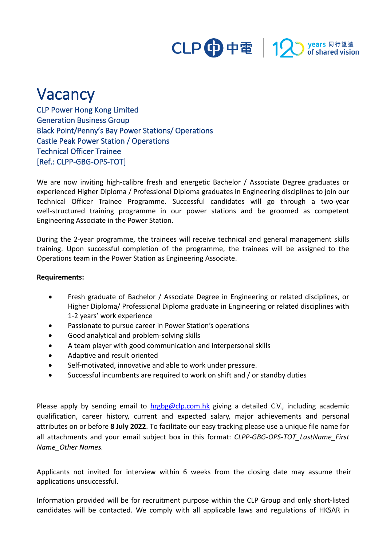

## Vacancy

CLP Power Hong Kong Limited Generation Business Group Black Point/Penny's Bay Power Stations/ Operations Castle Peak Power Station / Operations Technical Officer Trainee [Ref.: CLPP-GBG-OPS-TOT]

We are now inviting high-calibre fresh and energetic Bachelor / Associate Degree graduates or experienced Higher Diploma / Professional Diploma graduates in Engineering disciplines to join our Technical Officer Trainee Programme. Successful candidates will go through a two-year well-structured training programme in our power stations and be groomed as competent Engineering Associate in the Power Station.

During the 2-year programme, the trainees will receive technical and general management skills training. Upon successful completion of the programme, the trainees will be assigned to the Operations team in the Power Station as Engineering Associate.

## **Requirements:**

- Fresh graduate of Bachelor / Associate Degree in Engineering or related disciplines, or Higher Diploma/ Professional Diploma graduate in Engineering or related disciplines with 1-2 years' work experience
- Passionate to pursue career in Power Station's operations
- Good analytical and problem-solving skills
- A team player with good communication and interpersonal skills
- Adaptive and result oriented
- Self-motivated, innovative and able to work under pressure.
- Successful incumbents are required to work on shift and / or standby duties

Please apply by sending email to **[hrgbg@clp.com.hk](mailto:hrgbg@clp.com.hk)** giving a detailed C.V., including academic qualification, career history, current and expected salary, major achievements and personal attributes on or before **8 July 2022**. To facilitate our easy tracking please use a unique file name for all attachments and your email subject box in this format: *CLPP-GBG-OPS-TOT\_LastName\_First Name\_Other Names.*

Applicants not invited for interview within 6 weeks from the closing date may assume their applications unsuccessful.

Information provided will be for recruitment purpose within the CLP Group and only short-listed candidates will be contacted. We comply with all applicable laws and regulations of HKSAR in